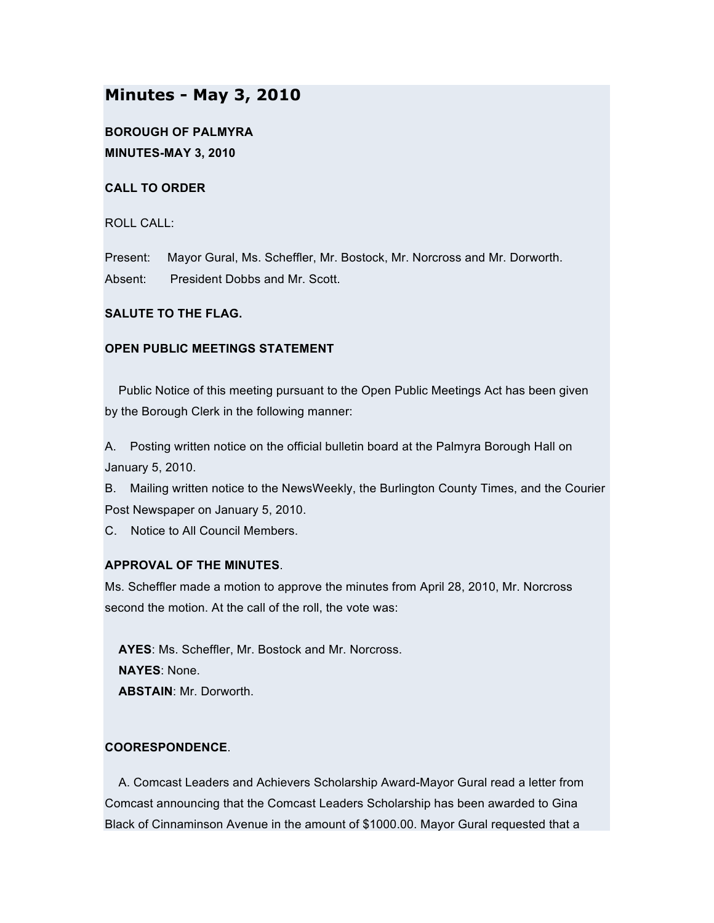# **Minutes - May 3, 2010**

**BOROUGH OF PALMYRA MINUTES-MAY 3, 2010**

**CALL TO ORDER**

ROLL CALL:

Present: Mayor Gural, Ms. Scheffler, Mr. Bostock, Mr. Norcross and Mr. Dorworth. Absent: President Dobbs and Mr. Scott.

## **SALUTE TO THE FLAG.**

## **OPEN PUBLIC MEETINGS STATEMENT**

Public Notice of this meeting pursuant to the Open Public Meetings Act has been given by the Borough Clerk in the following manner:

A. Posting written notice on the official bulletin board at the Palmyra Borough Hall on January 5, 2010.

B. Mailing written notice to the NewsWeekly, the Burlington County Times, and the Courier Post Newspaper on January 5, 2010.

C. Notice to All Council Members.

# **APPROVAL OF THE MINUTES**.

Ms. Scheffler made a motion to approve the minutes from April 28, 2010, Mr. Norcross second the motion. At the call of the roll, the vote was:

**AYES**: Ms. Scheffler, Mr. Bostock and Mr. Norcross. **NAYES**: None. **ABSTAIN**: Mr. Dorworth.

# **COORESPONDENCE**.

A. Comcast Leaders and Achievers Scholarship Award-Mayor Gural read a letter from Comcast announcing that the Comcast Leaders Scholarship has been awarded to Gina Black of Cinnaminson Avenue in the amount of \$1000.00. Mayor Gural requested that a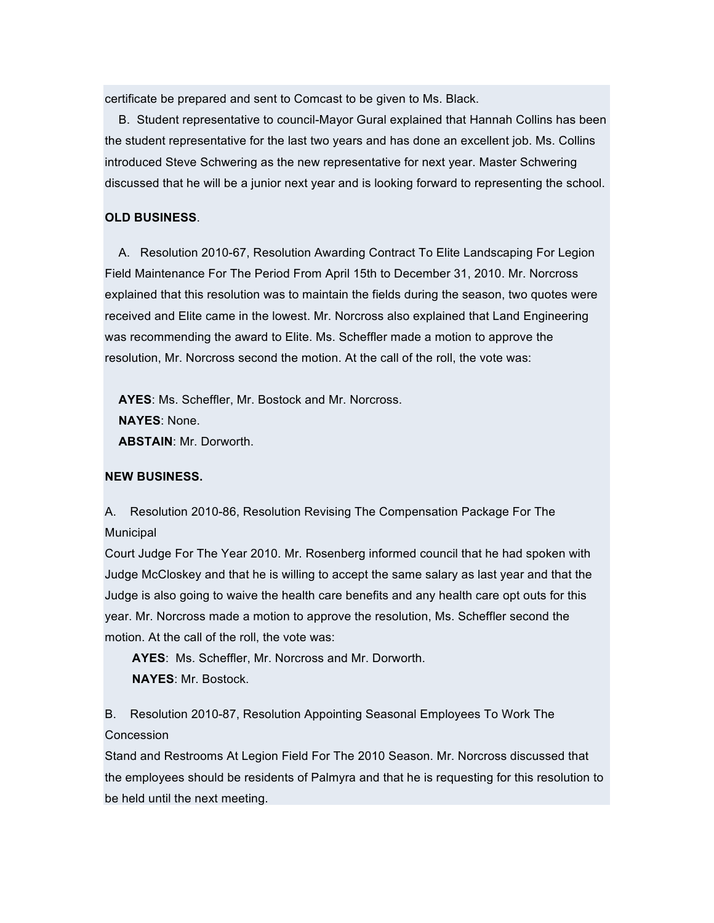certificate be prepared and sent to Comcast to be given to Ms. Black.

B. Student representative to council-Mayor Gural explained that Hannah Collins has been the student representative for the last two years and has done an excellent job. Ms. Collins introduced Steve Schwering as the new representative for next year. Master Schwering discussed that he will be a junior next year and is looking forward to representing the school.

### **OLD BUSINESS**.

A. Resolution 2010-67, Resolution Awarding Contract To Elite Landscaping For Legion Field Maintenance For The Period From April 15th to December 31, 2010. Mr. Norcross explained that this resolution was to maintain the fields during the season, two quotes were received and Elite came in the lowest. Mr. Norcross also explained that Land Engineering was recommending the award to Elite. Ms. Scheffler made a motion to approve the resolution, Mr. Norcross second the motion. At the call of the roll, the vote was:

**AYES**: Ms. Scheffler, Mr. Bostock and Mr. Norcross. **NAYES**: None. **ABSTAIN**: Mr. Dorworth.

#### **NEW BUSINESS.**

A. Resolution 2010-86, Resolution Revising The Compensation Package For The **Municipal** 

Court Judge For The Year 2010. Mr. Rosenberg informed council that he had spoken with Judge McCloskey and that he is willing to accept the same salary as last year and that the Judge is also going to waive the health care benefits and any health care opt outs for this year. Mr. Norcross made a motion to approve the resolution, Ms. Scheffler second the motion. At the call of the roll, the vote was:

**AYES**: Ms. Scheffler, Mr. Norcross and Mr. Dorworth. **NAYES**: Mr. Bostock.

B. Resolution 2010-87, Resolution Appointing Seasonal Employees To Work The Concession

Stand and Restrooms At Legion Field For The 2010 Season. Mr. Norcross discussed that the employees should be residents of Palmyra and that he is requesting for this resolution to be held until the next meeting.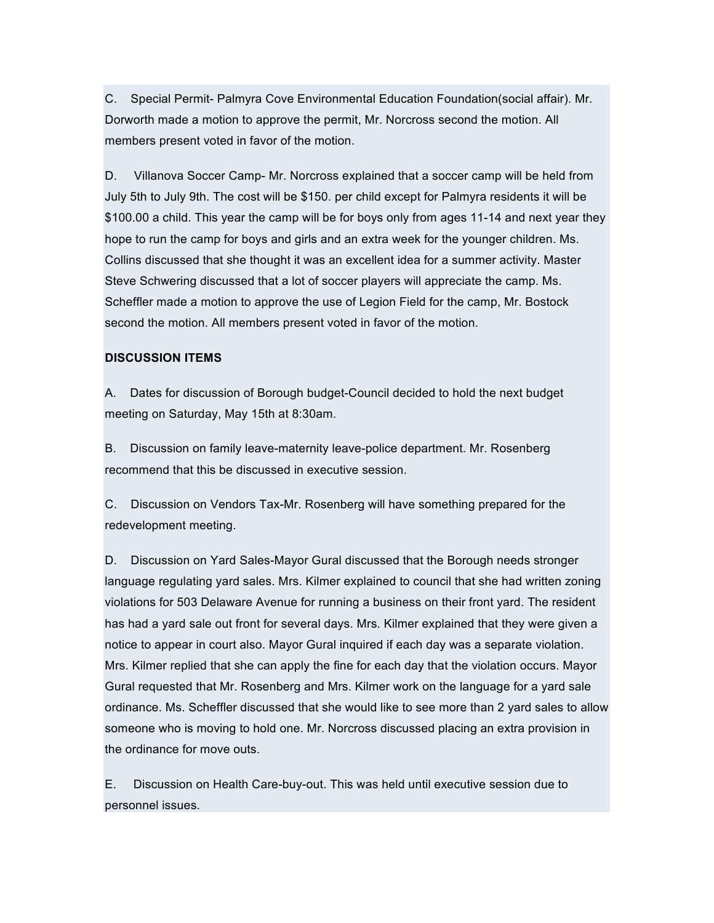C. Special Permit- Palmyra Cove Environmental Education Foundation(social affair). Mr. Dorworth made a motion to approve the permit, Mr. Norcross second the motion. All members present voted in favor of the motion.

D. Villanova Soccer Camp- Mr. Norcross explained that a soccer camp will be held from July 5th to July 9th. The cost will be \$150. per child except for Palmyra residents it will be \$100.00 a child. This year the camp will be for boys only from ages 11-14 and next year they hope to run the camp for boys and girls and an extra week for the younger children. Ms. Collins discussed that she thought it was an excellent idea for a summer activity. Master Steve Schwering discussed that a lot of soccer players will appreciate the camp. Ms. Scheffler made a motion to approve the use of Legion Field for the camp, Mr. Bostock second the motion. All members present voted in favor of the motion.

#### **DISCUSSION ITEMS**

A. Dates for discussion of Borough budget-Council decided to hold the next budget meeting on Saturday, May 15th at 8:30am.

B. Discussion on family leave-maternity leave-police department. Mr. Rosenberg recommend that this be discussed in executive session.

C. Discussion on Vendors Tax-Mr. Rosenberg will have something prepared for the redevelopment meeting.

D. Discussion on Yard Sales-Mayor Gural discussed that the Borough needs stronger language regulating yard sales. Mrs. Kilmer explained to council that she had written zoning violations for 503 Delaware Avenue for running a business on their front yard. The resident has had a yard sale out front for several days. Mrs. Kilmer explained that they were given a notice to appear in court also. Mayor Gural inquired if each day was a separate violation. Mrs. Kilmer replied that she can apply the fine for each day that the violation occurs. Mayor Gural requested that Mr. Rosenberg and Mrs. Kilmer work on the language for a yard sale ordinance. Ms. Scheffler discussed that she would like to see more than 2 yard sales to allow someone who is moving to hold one. Mr. Norcross discussed placing an extra provision in the ordinance for move outs.

E. Discussion on Health Care-buy-out. This was held until executive session due to personnel issues.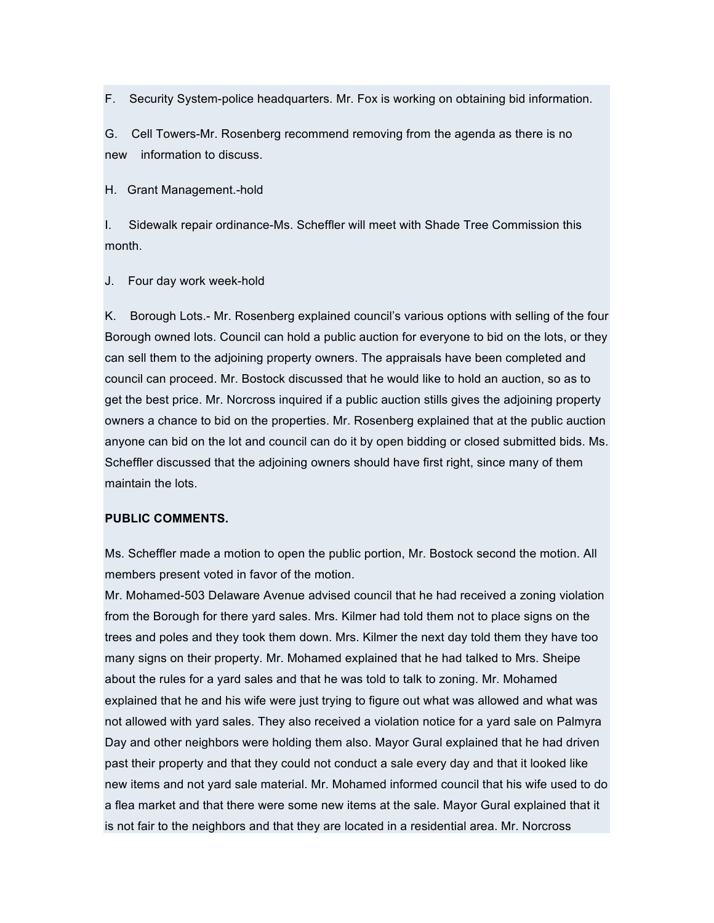F. Security System-police headquarters. Mr. Fox is working on obtaining bid information.

G. Cell Towers-Mr. Rosenberg recommend removing from the agenda as there is no new information to discuss.

H. Grant Management.-hold

I. Sidewalk repair ordinance-Ms. Scheffler will meet with Shade Tree Commission this month.

J. Four day work week-hold

K. Borough Lots.- Mr. Rosenberg explained council's various options with selling of the four Borough owned lots. Council can hold a public auction for everyone to bid on the lots, or they can sell them to the adjoining property owners. The appraisals have been completed and council can proceed. Mr. Bostock discussed that he would like to hold an auction, so as to get the best price. Mr. Norcross inquired if a public auction stills gives the adjoining property owners a chance to bid on the properties. Mr. Rosenberg explained that at the public auction anyone can bid on the lot and council can do it by open bidding or closed submitted bids. Ms. Scheffler discussed that the adjoining owners should have first right, since many of them maintain the lots.

#### **PUBLIC COMMENTS.**

Ms. Scheffler made a motion to open the public portion, Mr. Bostock second the motion. All members present voted in favor of the motion.

Mr. Mohamed-503 Delaware Avenue advised council that he had received a zoning violation from the Borough for there yard sales. Mrs. Kilmer had told them not to place signs on the trees and poles and they took them down. Mrs. Kilmer the next day told them they have too many signs on their property. Mr. Mohamed explained that he had talked to Mrs. Sheipe about the rules for a yard sales and that he was told to talk to zoning. Mr. Mohamed explained that he and his wife were just trying to figure out what was allowed and what was not allowed with yard sales. They also received a violation notice for a yard sale on Palmyra Day and other neighbors were holding them also. Mayor Gural explained that he had driven past their property and that they could not conduct a sale every day and that it looked like new items and not yard sale material. Mr. Mohamed informed council that his wife used to do a flea market and that there were some new items at the sale. Mayor Gural explained that it is not fair to the neighbors and that they are located in a residential area. Mr. Norcross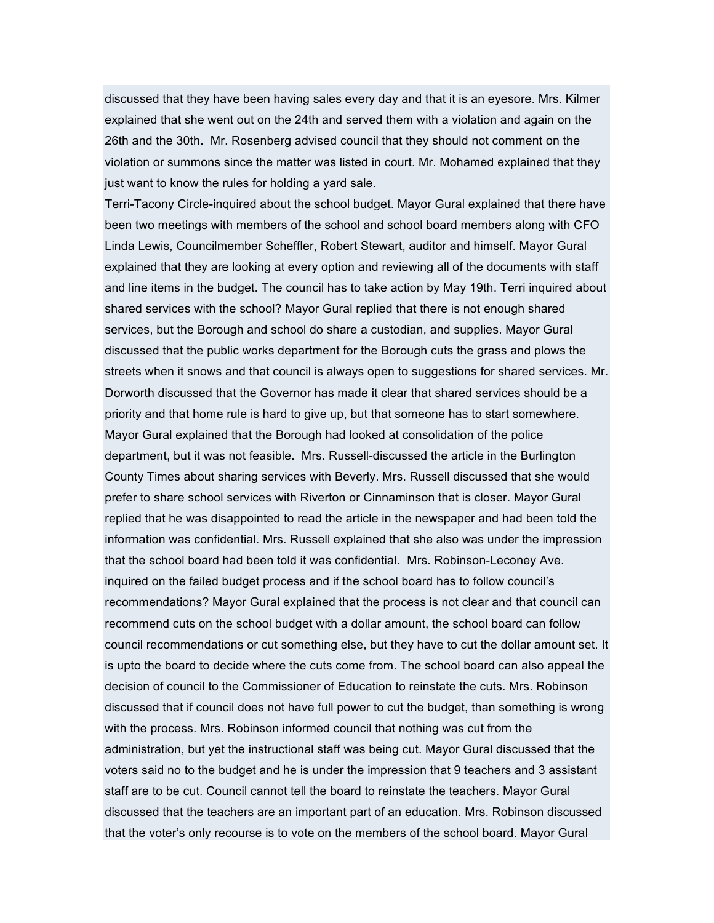discussed that they have been having sales every day and that it is an eyesore. Mrs. Kilmer explained that she went out on the 24th and served them with a violation and again on the 26th and the 30th. Mr. Rosenberg advised council that they should not comment on the violation or summons since the matter was listed in court. Mr. Mohamed explained that they just want to know the rules for holding a yard sale.

Terri-Tacony Circle-inquired about the school budget. Mayor Gural explained that there have been two meetings with members of the school and school board members along with CFO Linda Lewis, Councilmember Scheffler, Robert Stewart, auditor and himself. Mayor Gural explained that they are looking at every option and reviewing all of the documents with staff and line items in the budget. The council has to take action by May 19th. Terri inquired about shared services with the school? Mayor Gural replied that there is not enough shared services, but the Borough and school do share a custodian, and supplies. Mayor Gural discussed that the public works department for the Borough cuts the grass and plows the streets when it snows and that council is always open to suggestions for shared services. Mr. Dorworth discussed that the Governor has made it clear that shared services should be a priority and that home rule is hard to give up, but that someone has to start somewhere. Mayor Gural explained that the Borough had looked at consolidation of the police department, but it was not feasible. Mrs. Russell-discussed the article in the Burlington County Times about sharing services with Beverly. Mrs. Russell discussed that she would prefer to share school services with Riverton or Cinnaminson that is closer. Mayor Gural replied that he was disappointed to read the article in the newspaper and had been told the information was confidential. Mrs. Russell explained that she also was under the impression that the school board had been told it was confidential. Mrs. Robinson-Leconey Ave. inquired on the failed budget process and if the school board has to follow council's recommendations? Mayor Gural explained that the process is not clear and that council can recommend cuts on the school budget with a dollar amount, the school board can follow council recommendations or cut something else, but they have to cut the dollar amount set. It is upto the board to decide where the cuts come from. The school board can also appeal the decision of council to the Commissioner of Education to reinstate the cuts. Mrs. Robinson discussed that if council does not have full power to cut the budget, than something is wrong with the process. Mrs. Robinson informed council that nothing was cut from the administration, but yet the instructional staff was being cut. Mayor Gural discussed that the voters said no to the budget and he is under the impression that 9 teachers and 3 assistant staff are to be cut. Council cannot tell the board to reinstate the teachers. Mayor Gural discussed that the teachers are an important part of an education. Mrs. Robinson discussed that the voter's only recourse is to vote on the members of the school board. Mayor Gural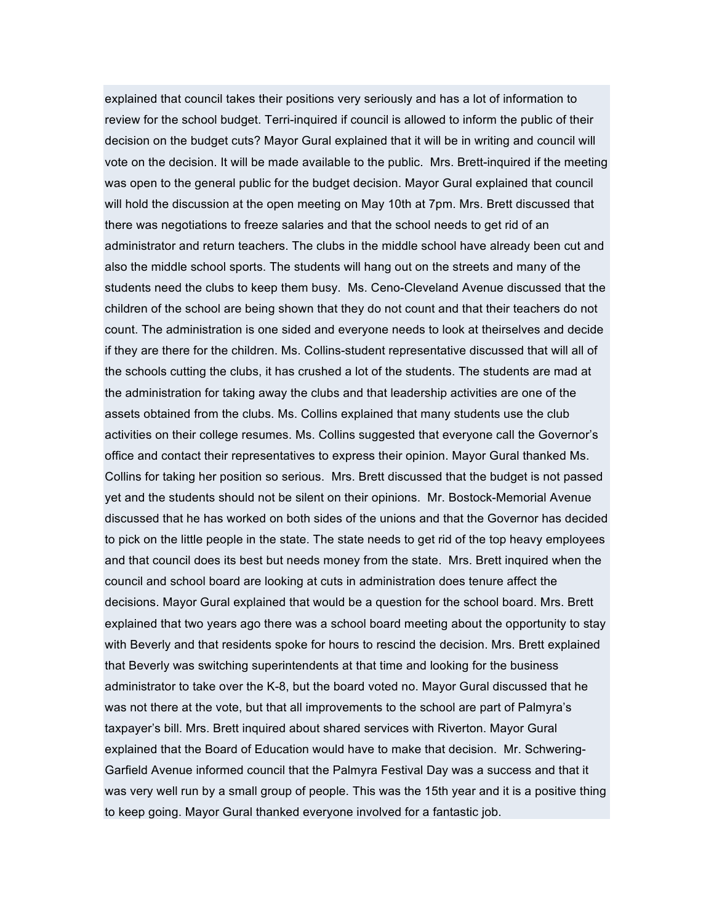explained that council takes their positions very seriously and has a lot of information to review for the school budget. Terri-inquired if council is allowed to inform the public of their decision on the budget cuts? Mayor Gural explained that it will be in writing and council will vote on the decision. It will be made available to the public. Mrs. Brett-inquired if the meeting was open to the general public for the budget decision. Mayor Gural explained that council will hold the discussion at the open meeting on May 10th at 7pm. Mrs. Brett discussed that there was negotiations to freeze salaries and that the school needs to get rid of an administrator and return teachers. The clubs in the middle school have already been cut and also the middle school sports. The students will hang out on the streets and many of the students need the clubs to keep them busy. Ms. Ceno-Cleveland Avenue discussed that the children of the school are being shown that they do not count and that their teachers do not count. The administration is one sided and everyone needs to look at theirselves and decide if they are there for the children. Ms. Collins-student representative discussed that will all of the schools cutting the clubs, it has crushed a lot of the students. The students are mad at the administration for taking away the clubs and that leadership activities are one of the assets obtained from the clubs. Ms. Collins explained that many students use the club activities on their college resumes. Ms. Collins suggested that everyone call the Governor's office and contact their representatives to express their opinion. Mayor Gural thanked Ms. Collins for taking her position so serious. Mrs. Brett discussed that the budget is not passed yet and the students should not be silent on their opinions. Mr. Bostock-Memorial Avenue discussed that he has worked on both sides of the unions and that the Governor has decided to pick on the little people in the state. The state needs to get rid of the top heavy employees and that council does its best but needs money from the state. Mrs. Brett inquired when the council and school board are looking at cuts in administration does tenure affect the decisions. Mayor Gural explained that would be a question for the school board. Mrs. Brett explained that two years ago there was a school board meeting about the opportunity to stay with Beverly and that residents spoke for hours to rescind the decision. Mrs. Brett explained that Beverly was switching superintendents at that time and looking for the business administrator to take over the K-8, but the board voted no. Mayor Gural discussed that he was not there at the vote, but that all improvements to the school are part of Palmyra's taxpayer's bill. Mrs. Brett inquired about shared services with Riverton. Mayor Gural explained that the Board of Education would have to make that decision. Mr. Schwering-Garfield Avenue informed council that the Palmyra Festival Day was a success and that it was very well run by a small group of people. This was the 15th year and it is a positive thing to keep going. Mayor Gural thanked everyone involved for a fantastic job.